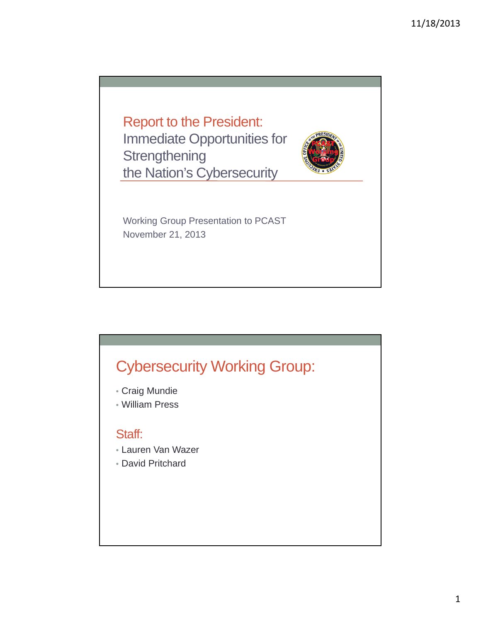Report to the President: Immediate Opportunities for **Strengthening** the Nation's Cybersecurity



Working Group Presentation to PCAST November 21, 2013

# Cybersecurity Working Group:

- Craig Mundie
- William Press

#### Staff:

- Lauren Van Wazer
- David Pritchard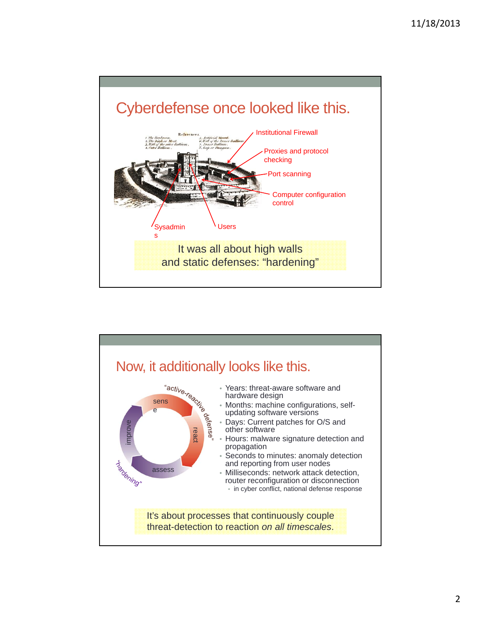

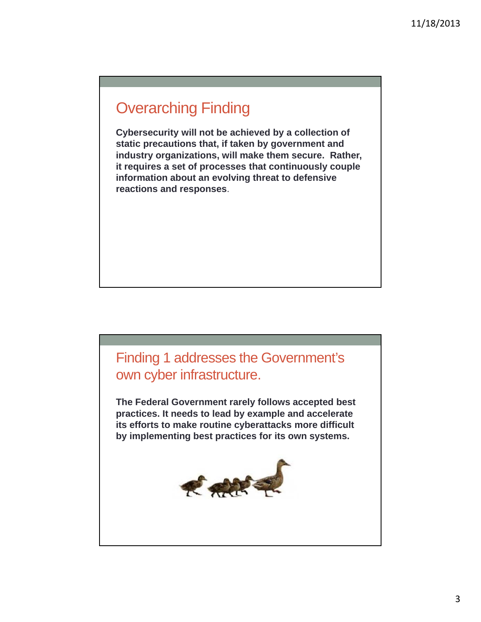## Overarching Finding

**Cybersecurity will not be achieved by a collection of static precautions that, if taken by government and industry organizations, will make them secure. Rather, it requires a set of processes that continuously couple information about an evolving threat to defensive reactions and responses**.

# Finding 1 addresses the Government's own cyber infrastructure.

**The Federal Government rarely follows accepted best practices. It needs to lead by example and accelerate its efforts to make routine cyberattacks more difficult by implementing best practices for its own systems.**

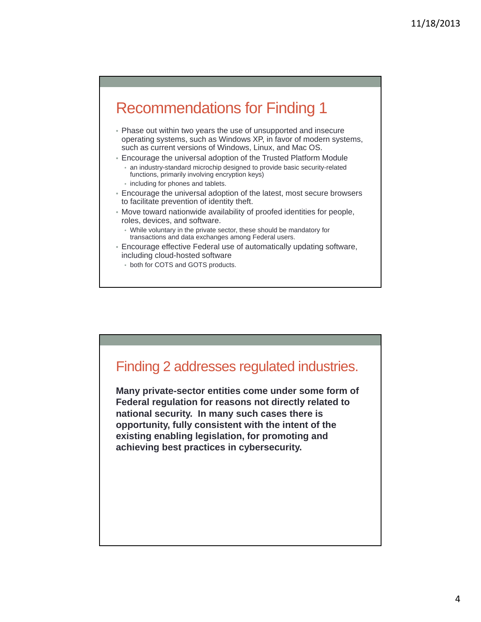# Recommendations for Finding 1

- Phase out within two years the use of unsupported and insecure operating systems, such as Windows XP, in favor of modern systems, such as current versions of Windows, Linux, and Mac OS.
- Encourage the universal adoption of the Trusted Platform Module • an industry-standard microchip designed to provide basic security-related functions, primarily involving encryption keys)
	- including for phones and tablets.
- Encourage the universal adoption of the latest, most secure browsers to facilitate prevention of identity theft.
- Move toward nationwide availability of proofed identities for people, roles, devices, and software.
	- While voluntary in the private sector, these should be mandatory for transactions and data exchanges among Federal users.
- Encourage effective Federal use of automatically updating software, including cloud-hosted software
	- both for COTS and GOTS products.

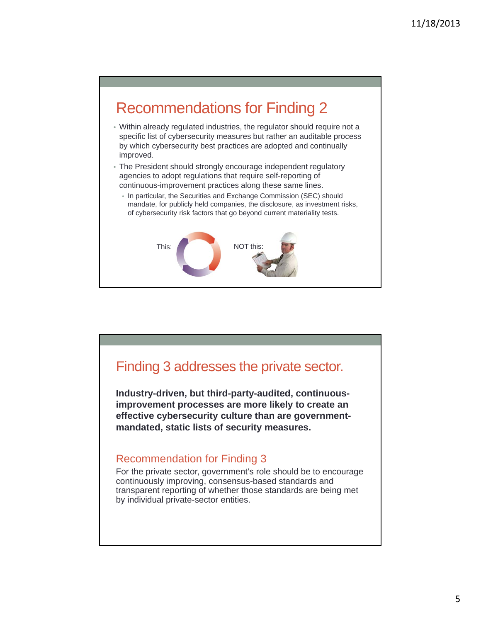

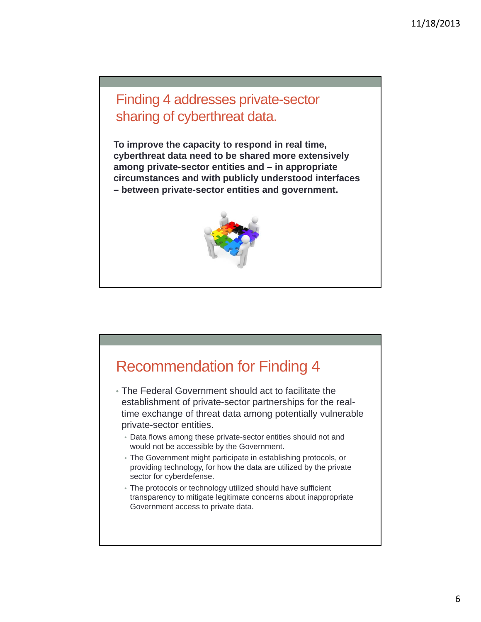Finding 4 addresses private-sector sharing of cyberthreat data.

**To improve the capacity to respond in real time, cyberthreat data need to be shared more extensively among private-sector entities and – in appropriate circumstances and with publicly understood interfaces – between private-sector entities and government.** 



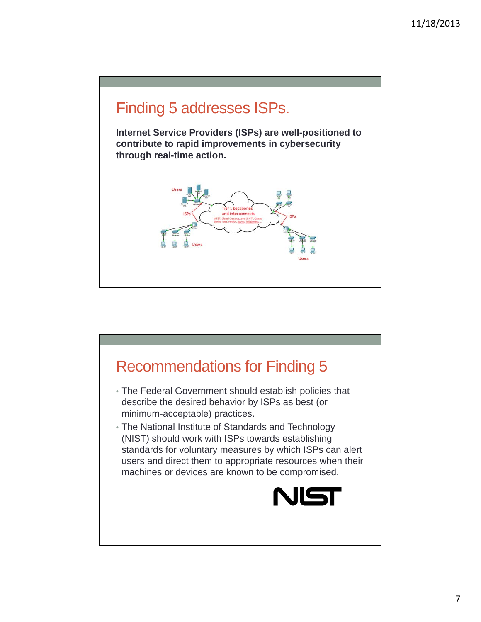

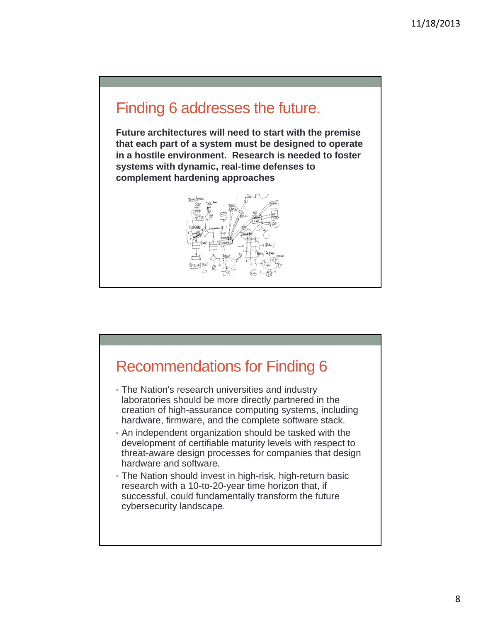### Finding 6 addresses the future.

**Future architectures will need to start with the premise that each part of a system must be designed to operate in a hostile environment. Research is needed to foster systems with dynamic, real-time defenses to complement hardening approaches**